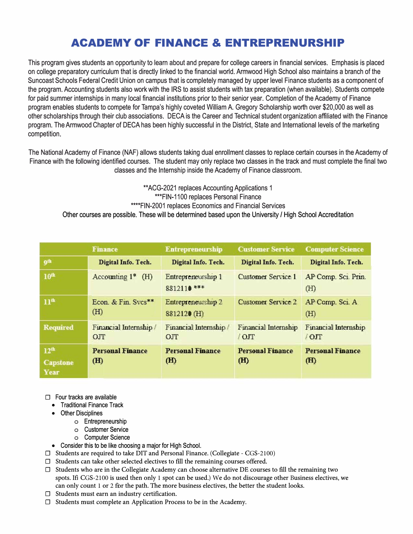## **ACADEMY OF FINANCE & ENTREPRENURSHIP**

This program gives students an opportunity to learn about and prepare for college careers in financial services. Emphasis is placed on college preparatory curriculum that is directly linked to the financial world. Armwood High School also maintains a branch of the Suncoast Schools Federal Credit Union on campus that is completely managed by upper level Finance students as a component of the program. Accounting students also work with the IRS to assist students with tax preparation (when available). Students compete for paid summer internships in many local financial institutions prior to their senior year. Completion of the Academy of Finance program enables students to compete for Tampa's highly coveted William A. Gregory Scholarship worth over \$20,000 as well as other scholarships through their club associations. DECA is the Career and Technical student organization affiliated with the Finance program. The Armwood Chapter of DECA has been highly successful in the District, State and International levels of the marketing competition.

The National Academy of Finance (NAF) allows students taking dual enrollment classes to replace certain courses in the Academy of Finance with the following identified courses. The student may only replace two classes in the track and must complete the final two classes and the Internship inside the Academy of Finance classroom.

\*\*ACG-2021 replaces Accounting Applications 1 \*\*\*FIN-1100 replaces Personal Finance \*\*\*\*FIN-2001 replaces Economics and Financial Services Other courses are possible. These will be determined based upon the University/ High School Accreditation

|                                             | <b>Finance</b>                           | <b>Entrepreneurship</b>           | <b>Customer Service</b>                               | <b>Computer Science</b>                       |
|---------------------------------------------|------------------------------------------|-----------------------------------|-------------------------------------------------------|-----------------------------------------------|
| <b>gth</b>                                  | Digital Info. Tech.                      | Digital Info. Tech.               | Digital Info. Tech.                                   | Digital Info. Tech.                           |
| 10 <sup>th</sup>                            | Accounting $1^*$ (H)                     | Entrepreneurship 1<br>8812110 *** | Customer Service 1                                    | AP Comp. Sci. Prin.<br>(H)                    |
| 11 <sup>th</sup>                            | Econ. & Fin. Svcs**<br>(H)               | Entrepreneurship 2<br>8812120 (H) | <b>Customer Service 2</b>                             | AP Comp. Sci. A<br>(H)                        |
| <b>Required</b>                             | Financial Internship/<br>O <sub>TT</sub> | Financial Internship /<br>OJT     | Financial Internship<br>$\overline{O}$ $\overline{C}$ | <b>Financial Internship</b><br>$\overline{O}$ |
| 12 <sup>th</sup><br><b>Capstone</b><br>Year | <b>Personal Finance</b><br>(H)           | <b>Personal Finance</b><br>(H)    | <b>Personal Finance</b><br>(H)                        | <b>Personal Finance</b><br>(H)                |

□ Four tracks are available

- Traditional Finance Track
- Other Disciplines
	- o Entrepreneurship
	- o Customer Service
	- o Computer Science
- Consider this to be like choosing a major for High School.
- $\Box$  Students are required to take DIT and Personal Finance. (Collegiate CGS-2100)
- $\Box$  Students can take other selected electives to fill the remaining courses offered.
- $\square$  Students who are in the Collegiate Academy can choose alternative DE courses to fill the remaining two spots. If CGS-2100 is used then only 1 spot can be used.) We do not discourage other Business electives, we can only count 1 or 2 for the path. The more business electives, the better the student looks.
- □ Students must earn an industry certification.
- $\Box$  Students must complete an Application Process to be in the Academy.